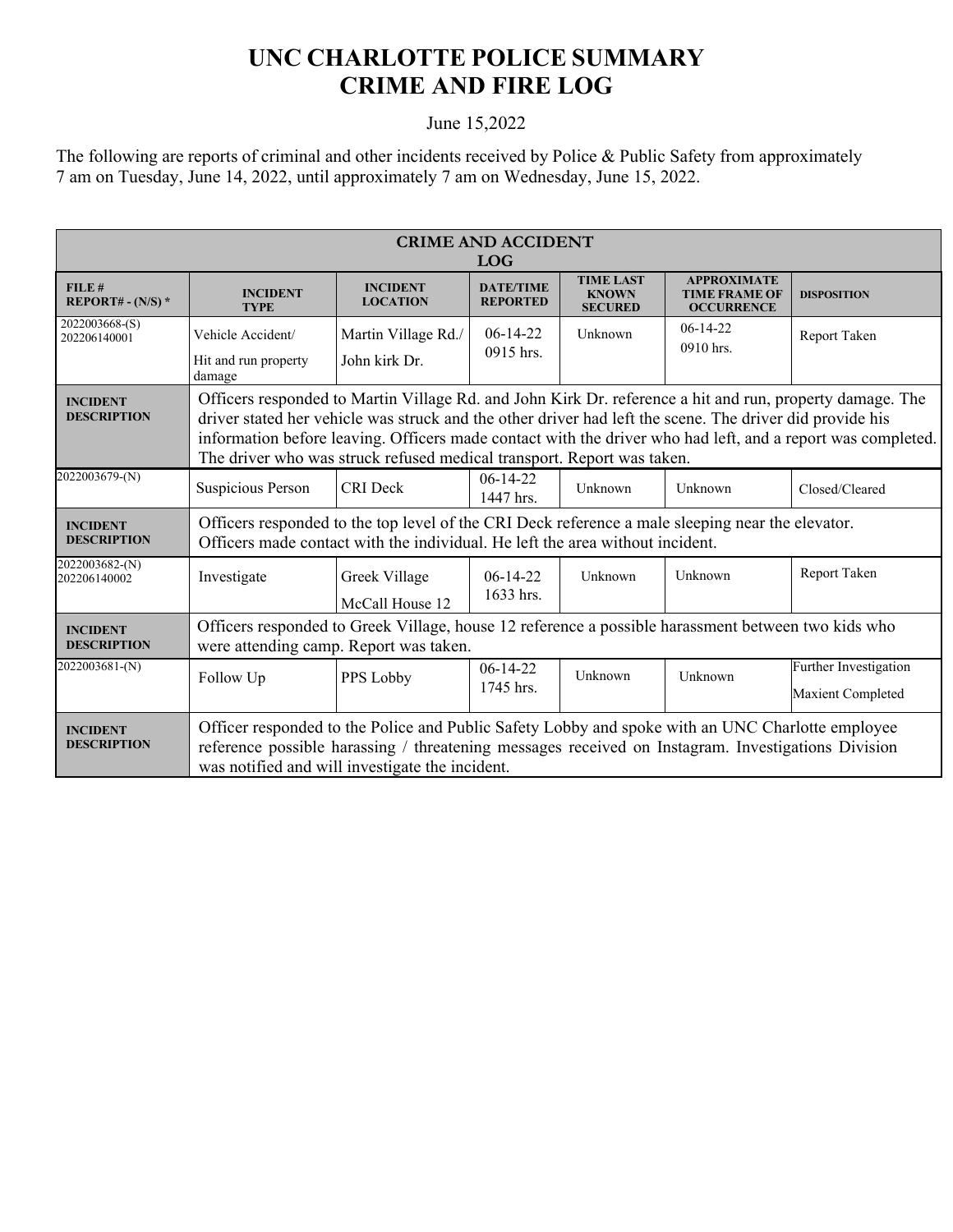## **UNC CHARLOTTE POLICE SUMMARY CRIME AND FIRE LOG**

## June 15,2022

The following are reports of criminal and other incidents received by Police & Public Safety from approximately 7 am on Tuesday, June 14, 2022, until approximately 7 am on Wednesday, June 15, 2022.

| <b>CRIME AND ACCIDENT</b><br><b>LOG</b> |                                                                                                                                                                                                                                                                                                                                                                                                               |                                      |                                     |                                                    |                                                                 |                                            |
|-----------------------------------------|---------------------------------------------------------------------------------------------------------------------------------------------------------------------------------------------------------------------------------------------------------------------------------------------------------------------------------------------------------------------------------------------------------------|--------------------------------------|-------------------------------------|----------------------------------------------------|-----------------------------------------------------------------|--------------------------------------------|
| FILE#<br>REPORT# - $(N/S)$ *            | <b>INCIDENT</b><br><b>TYPE</b>                                                                                                                                                                                                                                                                                                                                                                                | <b>INCIDENT</b><br><b>LOCATION</b>   | <b>DATE/TIME</b><br><b>REPORTED</b> | <b>TIME LAST</b><br><b>KNOWN</b><br><b>SECURED</b> | <b>APPROXIMATE</b><br><b>TIME FRAME OF</b><br><b>OCCURRENCE</b> | <b>DISPOSITION</b>                         |
| 2022003668-(S)<br>202206140001          | Vehicle Accident/<br>Hit and run property<br>damage                                                                                                                                                                                                                                                                                                                                                           | Martin Village Rd./<br>John kirk Dr. | $06-14-22$<br>0915 hrs.             | Unknown                                            | $06-14-22$<br>0910 hrs.                                         | Report Taken                               |
| <b>INCIDENT</b><br><b>DESCRIPTION</b>   | Officers responded to Martin Village Rd. and John Kirk Dr. reference a hit and run, property damage. The<br>driver stated her vehicle was struck and the other driver had left the scene. The driver did provide his<br>information before leaving. Officers made contact with the driver who had left, and a report was completed.<br>The driver who was struck refused medical transport. Report was taken. |                                      |                                     |                                                    |                                                                 |                                            |
| 2022003679-(N)                          | Suspicious Person                                                                                                                                                                                                                                                                                                                                                                                             | CRI Deck                             | $06-14-22$<br>1447 hrs.             | Unknown                                            | Unknown                                                         | Closed/Cleared                             |
| <b>INCIDENT</b><br><b>DESCRIPTION</b>   | Officers responded to the top level of the CRI Deck reference a male sleeping near the elevator.<br>Officers made contact with the individual. He left the area without incident.                                                                                                                                                                                                                             |                                      |                                     |                                                    |                                                                 |                                            |
| 2022003682-(N)<br>202206140002          | Investigate                                                                                                                                                                                                                                                                                                                                                                                                   | Greek Village<br>McCall House 12     | $06-14-22$<br>1633 hrs.             | Unknown                                            | Unknown                                                         | Report Taken                               |
| <b>INCIDENT</b><br><b>DESCRIPTION</b>   | Officers responded to Greek Village, house 12 reference a possible harassment between two kids who<br>were attending camp. Report was taken.                                                                                                                                                                                                                                                                  |                                      |                                     |                                                    |                                                                 |                                            |
| 2022003681-(N)                          | Follow Up                                                                                                                                                                                                                                                                                                                                                                                                     | PPS Lobby                            | $06-14-22$<br>1745 hrs.             | Unknown                                            | Unknown                                                         | Further Investigation<br>Maxient Completed |
| <b>INCIDENT</b><br><b>DESCRIPTION</b>   | Officer responded to the Police and Public Safety Lobby and spoke with an UNC Charlotte employee<br>reference possible harassing / threatening messages received on Instagram. Investigations Division<br>was notified and will investigate the incident.                                                                                                                                                     |                                      |                                     |                                                    |                                                                 |                                            |